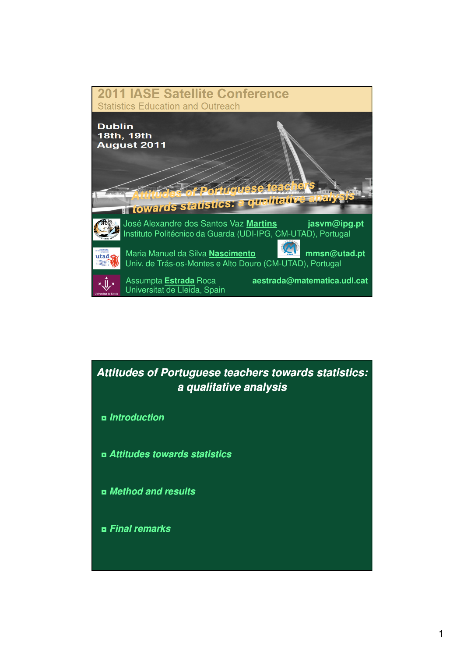

# **Attitudes of Portuguese teachers towards statistics: a qualitative analysis**

- ◘ **Introduction**
- ◘ **Attitudes towards statistics**
- ◘ **Method and results**
- ◘ **Final remarks**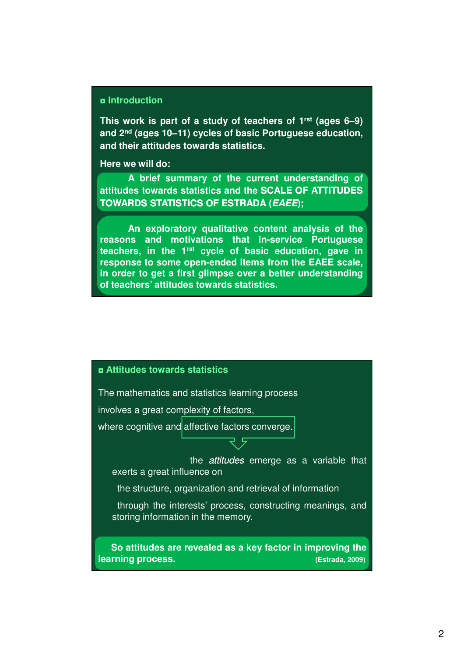#### ◘ **Introduction**

**This work is part of a study of teachers of 1rst (ages 6–9) and 2nd (ages 10–11) cycles of basic Portuguese education, and their attitudes towards statistics.**

**Here we will do:**

**A brief summary of the current understanding of attitudes towards statistics and the SCALE OF ATTITUDES TOWARDS TOWARDS STATISTICS STATISTICS OF ESTRADA ESTRADA (EAEE);**

**An exploratory qualitative content analysis of the reasons and motivations that in-service Portuguese teachers, in the 1rst cycle of basic education, gave in response to some open-ended items from the EAEE scale, in order to get a first glimpse over a better understanding of teachers' attitudes towards statistics.**

#### ◘ **Attitudes towards statistics**

The mathematics and statistics learning process

involves a great complexity of factors,

where cognitive and affective factors converge.

the *attitudes* emerge as a variable that exerts a great influence on

the structure, organization and retrieval of information

through the interests' process, constructing meanings, and storing information in the memory.

**So attitudes are revealed as a key factor in improving the learning process. (Estrada, 2009)**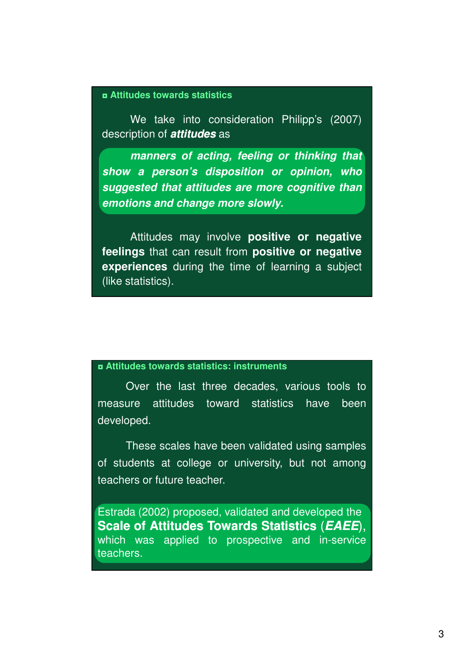#### ◘ **Attitudes towards statistics**

We take into consideration Philipp's (2007) description of **attitudes** as

**manners of acting, feeling or thinking that show a person's disposition or opinion, who suggested that attitudes are more cognitive than emotions and change more slowly.**

Attitudes may involve **positive or negative feelings** that can result from **positive or negative experiences** during the time of learning a subject (like statistics).

#### ◘ **Attitudes towards statistics: instruments**

Over the last three decades, various tools to measure attitudes toward statistics have been developed.

These scales have been validated using samples of students at college or university, but not among teachers or future teacher.

Estrada (2002) proposed, validated and developed the **Scale of Attitudes Attitudes Towards Towards Statistics** (**EAEE**), which was applied to prospective and in-service teachers.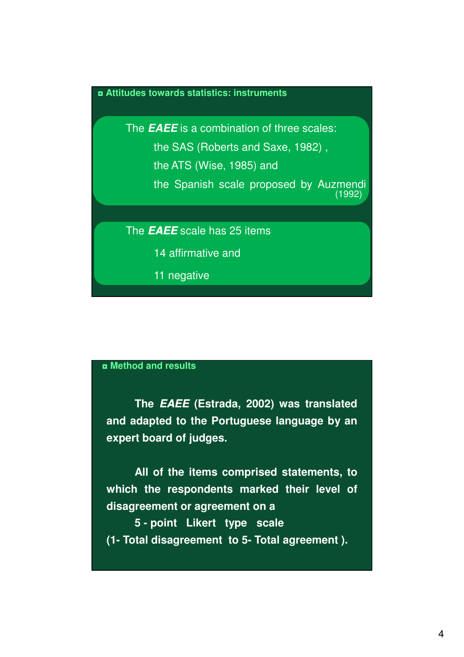#### ◘ **Attitudes towards statistics: instruments**

The **EAEE** is a combination of three scales: the SAS (Roberts and Saxe, 1982) , the ATS (Wise, 1985) and the Spanish scale proposed by Auzmendi

(1992)

The **EAEE** scale has 25 items

14 affirmative and

11 negative

# ◘ **Method and results**

**The EAEE (Estrada, 2002) was translated and adapted to the Portuguese language by an expert board of judges.**

**All of the items comprised statements, to which the respondents marked their level of disagreement or agreement on a**

**5 - point Likert type scale (1- Total disagreement to 5- Total agreement ).**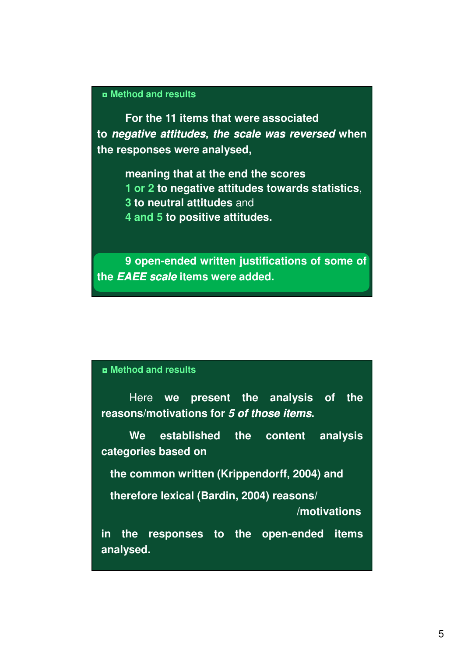# ◘ **Method and results**

**For the 11 items that were associated to negative negative attitudes, attitudes, the scale was reversed when the responses were analysed,**

> **meaning that at the end the scores 1 or 2 to negative attitudes towards statistics**, **3 to neutral attitudes** and **4 and 5 to positive attitudes.**

**9 open-ended written justifications of some of the EAEE scale items were added.**

# ◘ **Method and results**

Here **we present the analysis of the reasons/motivations for 5 of those items.**

**We established the content analysis categories based on**

**the common written (Krippendorff, 2004) and**

**therefore lexical (Bardin, 2004) reasons/** 

**/motivations** 

**in the responses to the open-ended items analysed.**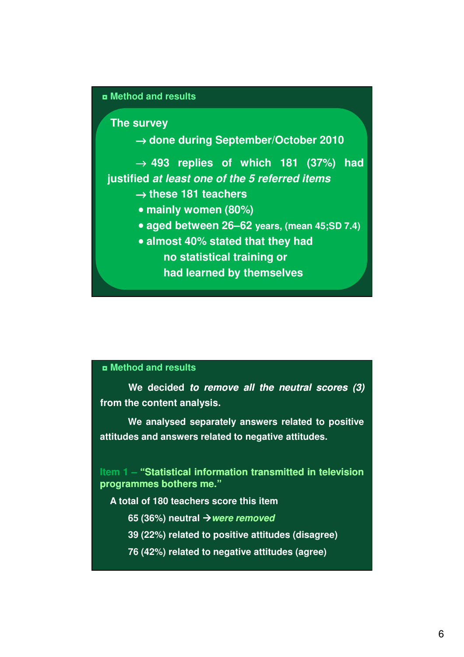#### ◘ **Method and results**

**The survey**

→ **done during September/October 2010**

→ **493 replies of which 181 (37%) had justified at least one of the 5 referred items**

- → **these 181 teachers**
- **mainly women (80%)**
- **aged between 26–62 years, (mean 45;SD 7.4)**
- **almost 40% stated that they had no statistical training or**
	- **had learned by themselves**

# ◘ **Method and results**

We decided to remove all the neutral scores (3) **from the content analysis.**

**We analysed separately answers related to positive attitudes and answers related to negative attitudes.**

**Item 1 – "Statistical information transmitted in television programmes programmes bothers bothers me."**

**A total of 180 teachers score this item**

- **65 (36%) neutral were removed**
- **39 (22%) related to positive attitudes (disagree)**
- **76 (42%) related to negative attitudes (agree)**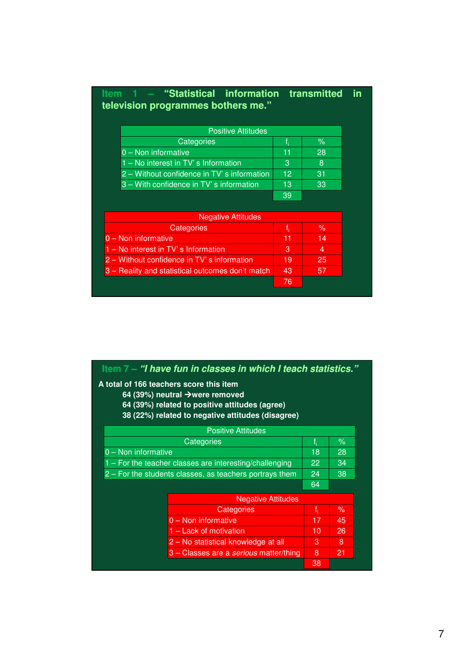|  |                                    | Item 1 – "Statistical information transmitted in |  |
|--|------------------------------------|--------------------------------------------------|--|
|  | television programmes bothers me." |                                                  |  |

| <b>Positive Attitudes</b>                   |    |    |  |
|---------------------------------------------|----|----|--|
| Categories                                  |    | ℅  |  |
| $0 -$ Non informative                       | 11 | 28 |  |
| 1 – No interest in TV's Information         | 3  | Ι8 |  |
| 2 – Without confidence in TV' s information | 12 | 31 |  |
| 3 – With confidence in TV's information     | 13 | 33 |  |
|                                             | 39 |    |  |

| <b>Negative Attitudes</b>                        |    |    |
|--------------------------------------------------|----|----|
| Categories                                       |    | ℅  |
| $0 -$ Non informative                            | 11 | 14 |
| $1 - No$ interest in $TV$ s Information          | 3  | 4  |
| 2 – Without confidence in TV' s information      | 19 | 25 |
| 3 – Reality and statistical outcomes don't match | 43 | 57 |
|                                                  | 76 |    |

|                                         | Item 7 – "I have fun in classes in which I teach statistics."                                                                                      |       |      |
|-----------------------------------------|----------------------------------------------------------------------------------------------------------------------------------------------------|-------|------|
| A total of 166 teachers score this item | 64 (39%) neutral $\rightarrow$ were removed<br>64 (39%) related to positive attitudes (agree)<br>38 (22%) related to negative attitudes (disagree) |       |      |
|                                         | <b>Positive Attitudes</b>                                                                                                                          |       |      |
|                                         | Categories                                                                                                                                         | $f_i$ | $\%$ |
| $0 -$ Non informative                   |                                                                                                                                                    | 18    | 28   |
|                                         | $1 -$ For the teacher classes are interesting/challenging                                                                                          |       |      |
|                                         | 2 – For the students classes, as teachers portrays them                                                                                            |       |      |
|                                         |                                                                                                                                                    | 64    |      |
|                                         | <b>Negative Attitudes</b>                                                                                                                          |       |      |
|                                         | Categories                                                                                                                                         | $f_i$ | $\%$ |
|                                         | $0 -$ Non informative                                                                                                                              | 17    | 45   |
|                                         | 1 – Lack of motivation                                                                                                                             | 10    | 26   |
|                                         | 2 – No statistical knowledge at all                                                                                                                | 3     | 8    |
|                                         | 3 – Classes are a serious matter/thing                                                                                                             | 8     | 21   |
|                                         |                                                                                                                                                    | 38    |      |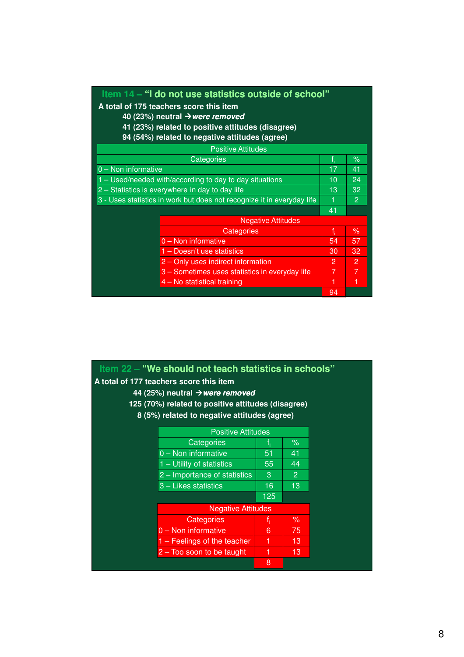| Item 14 – "I do not use statistics outside of school"                  |    |      |
|------------------------------------------------------------------------|----|------|
| A total of 175 teachers score this item                                |    |      |
| 40 (23%) neutral $\rightarrow$ were removed                            |    |      |
| 41 (23%) related to positive attitudes (disagree)                      |    |      |
| 94 (54%) related to negative attitudes (agree)                         |    |      |
| <b>Positive Attitudes</b>                                              |    |      |
| Categories                                                             |    | $\%$ |
| $0 -$ Non informative                                                  | 17 | 41   |
| 1 – Used/needed with/according to day to day situations                | 10 | 24   |
| 2 – Statistics is everywhere in day to day life                        | 13 | 32   |
| 3 - Uses statistics in work but does not recognize it in everyday life | -1 | 2    |
|                                                                        | 41 |      |
| <b>Negative Attitudes</b>                                              |    |      |
| Categories                                                             | f. | %    |
| 0 - Non informative                                                    | 54 | 57   |
| 1 – Doesn't use statistics                                             | 30 | 32   |
| 2 - Only uses indirect information                                     | 2  | 2    |
| 3 - Sometimes uses statistics in everyday life                         | 7  | 7    |
| 4 – No statistical training                                            | 1  | 1    |
|                                                                        | 94 |      |

| Item 22 – "We should not teach statistics in schools"<br>A total of 177 teachers score this item<br>44 (25%) neutral $\rightarrow$ were removed<br>125 (70%) related to positive attitudes (disagree)<br>8 (5%) related to negative attitudes (agree) |     |                |  |
|-------------------------------------------------------------------------------------------------------------------------------------------------------------------------------------------------------------------------------------------------------|-----|----------------|--|
| <b>Positive Attitudes</b>                                                                                                                                                                                                                             |     |                |  |
| Categories                                                                                                                                                                                                                                            |     | $\%$           |  |
| 0 - Non informative                                                                                                                                                                                                                                   | 51  | 41             |  |
| $1 -$ Utility of statistics                                                                                                                                                                                                                           | 55  | 44             |  |
| 2 – Importance of statistics                                                                                                                                                                                                                          | 3   | $\overline{2}$ |  |
| 3 - Likes statistics                                                                                                                                                                                                                                  | 16  | 13             |  |
|                                                                                                                                                                                                                                                       | 125 |                |  |
| <b>Negative Attitudes</b>                                                                                                                                                                                                                             |     |                |  |
| Categories                                                                                                                                                                                                                                            | f,  | ℅              |  |
| $0 -$ Non informative                                                                                                                                                                                                                                 | 6   | 75             |  |
| $1 -$ Feelings of the teacher                                                                                                                                                                                                                         | 1   | 13             |  |
| $2 -$ Too soon to be taught                                                                                                                                                                                                                           | 1   | 13             |  |
|                                                                                                                                                                                                                                                       | 8   |                |  |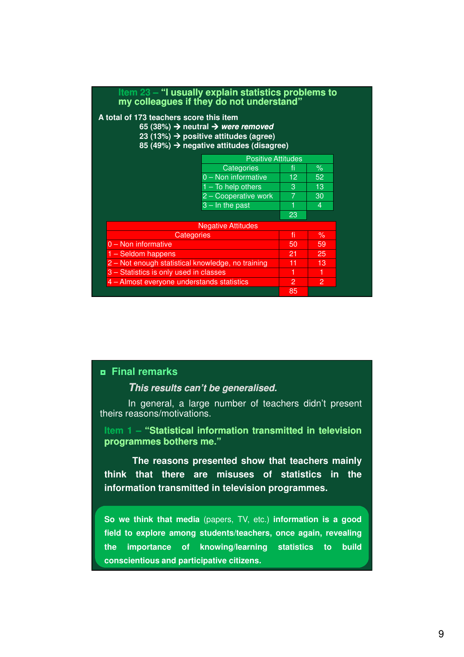| Item $23 -$ "I usually explain statistics problems to<br>my colleagues if they do not understand"                                                                                                                 |                           |    |                |  |
|-------------------------------------------------------------------------------------------------------------------------------------------------------------------------------------------------------------------|---------------------------|----|----------------|--|
| A total of 173 teachers score this item<br>65 (38%) $\rightarrow$ neutral $\rightarrow$ were removed<br>23 (13%) $\rightarrow$ positive attitudes (agree)<br>85 (49%) $\rightarrow$ negative attitudes (disagree) |                           |    |                |  |
|                                                                                                                                                                                                                   | <b>Positive Attitudes</b> |    |                |  |
|                                                                                                                                                                                                                   | Categories                | fi | $\%$           |  |
|                                                                                                                                                                                                                   | 0 - Non informative       | 12 | 52             |  |
|                                                                                                                                                                                                                   | $1 - To help others$      | 3  | 13             |  |
|                                                                                                                                                                                                                   | 2 - Cooperative work      | 7  | 30             |  |
|                                                                                                                                                                                                                   | $3 - \ln$ the past        |    | $\overline{4}$ |  |
|                                                                                                                                                                                                                   |                           | 23 |                |  |
|                                                                                                                                                                                                                   | <b>Negative Attitudes</b> |    |                |  |
| <b>Categories</b>                                                                                                                                                                                                 |                           | fi | $\%$           |  |
| $0 -$ Non informative                                                                                                                                                                                             |                           | 50 | 59             |  |
| 1 - Seldom happens                                                                                                                                                                                                |                           | 21 | 25             |  |
| 2 - Not enough statistical knowledge, no training                                                                                                                                                                 |                           | 11 | 13             |  |
| 3 - Statistics is only used in classes                                                                                                                                                                            |                           | 1  | 1              |  |
| 4 - Almost everyone understands statistics                                                                                                                                                                        |                           | 2  | 2              |  |
|                                                                                                                                                                                                                   |                           | 85 |                |  |

**This results can't be generalised.** 

In general, a large number of teachers didn't present theirs reasons/motivations.

**Item 1 – "Statistical information transmitted in television programmes programmes bothers bothers me."**

**The reasons presented show that teachers mainly think that there are misuses of statistics in the information transmitted in television programmes.**

**So we think that media** (papers, TV, etc.) **information is a good field to explore among students/teachers, once again, revealing the importance of knowing/learning statistics to build conscientious and participative citizens.**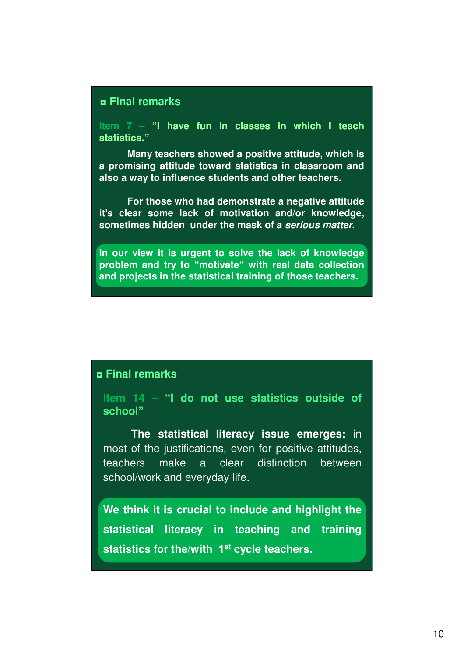**Item 7 – "I have fun in classes in which I teach statistics statistics."**

**Many teachers showed a positive attitude, which is a promising attitude toward statistics in classroom and also a way to influence students and other teachers.**

**For those who had demonstrate a negative attitude it's clear some lack of motivation and/or knowledge, sometimes hidden under the mask of a serious matter.**

**In our view it is urgent to solve the lack of knowledge problem and try to "motivate" with real data collection and projects in the statistical training of those teachers.**

# ◘ **Final remarks**

**Item 14 – "I do not use statistics statistics outside outside of school"**

**The statistical literacy issue emerges:** in most of the justifications, even for positive attitudes, teachers make a clear distinction between school/work and everyday life.

**We think it is crucial to include and highlight the statistical literacy in teaching and training statistics for the/with 1st cycle teachers.**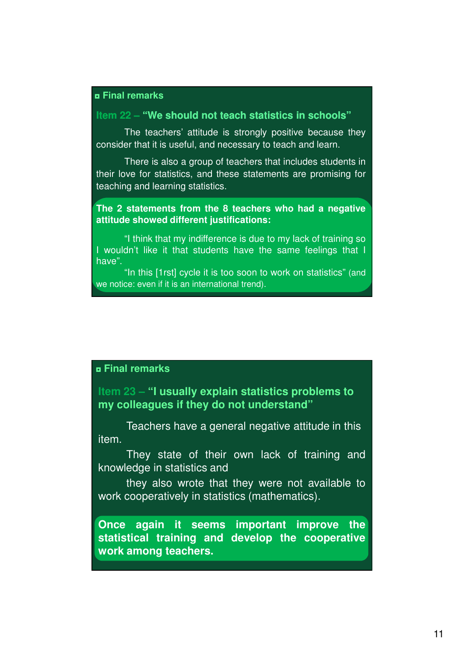# **Item 22 – "We should not teach statistics in schools"**

The teachers' attitude is strongly positive because they consider that it is useful, and necessary to teach and learn.

There is also a group of teachers that includes students in their love for statistics, and these statements are promising for teaching and learning statistics.

**The 2 statements from the 8 teachers who had a negative attitude showed different justifications:**

"I think that my indifference is due to my lack of training so I wouldn't like it that students have the same feelings that I have".

"In this [1rst] cycle it is too soon to work on statistics" (and we notice: even if it is an international trend).

# ◘ **Final remarks**

**Item 23 – "I usually explain statistics problems to my colleagues if they do not understand"**

Teachers have a general negative attitude in this item.

They state of their own lack of training and knowledge in statistics and

they also wrote that they were not available to work cooperatively in statistics (mathematics).

**Once again it seems important improve the statistical training and develop the cooperative work among teachers.**